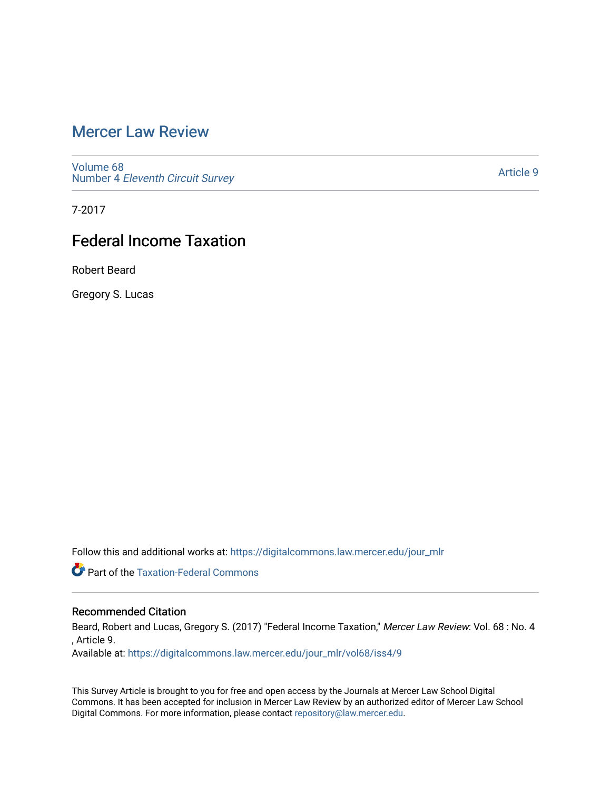## [Mercer Law Review](https://digitalcommons.law.mercer.edu/jour_mlr)

[Volume 68](https://digitalcommons.law.mercer.edu/jour_mlr/vol68) Number 4 [Eleventh Circuit Survey](https://digitalcommons.law.mercer.edu/jour_mlr/vol68/iss4) 

[Article 9](https://digitalcommons.law.mercer.edu/jour_mlr/vol68/iss4/9) 

7-2017

# Federal Income Taxation

Robert Beard

Gregory S. Lucas

Follow this and additional works at: [https://digitalcommons.law.mercer.edu/jour\\_mlr](https://digitalcommons.law.mercer.edu/jour_mlr?utm_source=digitalcommons.law.mercer.edu%2Fjour_mlr%2Fvol68%2Fiss4%2F9&utm_medium=PDF&utm_campaign=PDFCoverPages)

**Part of the [Taxation-Federal Commons](http://network.bepress.com/hgg/discipline/881?utm_source=digitalcommons.law.mercer.edu%2Fjour_mlr%2Fvol68%2Fiss4%2F9&utm_medium=PDF&utm_campaign=PDFCoverPages)** 

### Recommended Citation

Beard, Robert and Lucas, Gregory S. (2017) "Federal Income Taxation," Mercer Law Review: Vol. 68 : No. 4 , Article 9.

Available at: [https://digitalcommons.law.mercer.edu/jour\\_mlr/vol68/iss4/9](https://digitalcommons.law.mercer.edu/jour_mlr/vol68/iss4/9?utm_source=digitalcommons.law.mercer.edu%2Fjour_mlr%2Fvol68%2Fiss4%2F9&utm_medium=PDF&utm_campaign=PDFCoverPages)

This Survey Article is brought to you for free and open access by the Journals at Mercer Law School Digital Commons. It has been accepted for inclusion in Mercer Law Review by an authorized editor of Mercer Law School Digital Commons. For more information, please contact [repository@law.mercer.edu](mailto:repository@law.mercer.edu).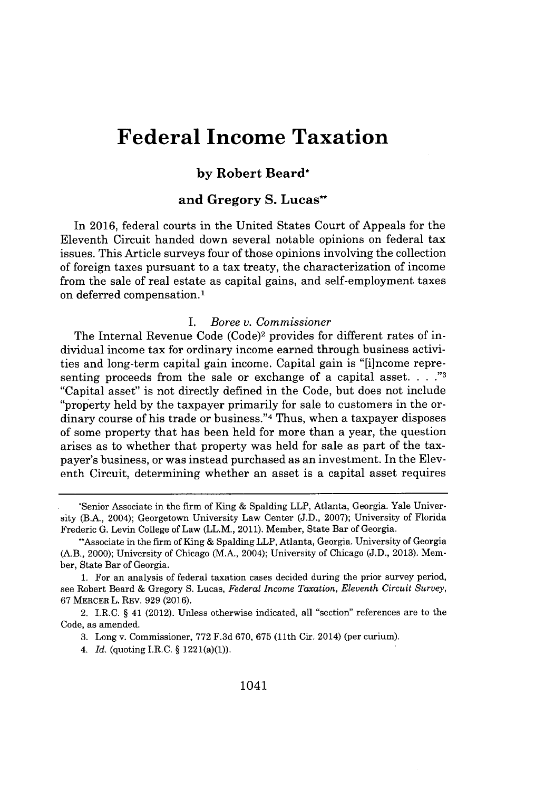## **Federal Income Taxation**

## **by Robert Beard\***

### **and Gregory S. Lucas"**

In **2016,** federal courts in the United States Court of Appeals for the Eleventh Circuit handed down several notable opinions on federal tax issues. This Article surveys four of those opinions involving the collection of foreign taxes pursuant to a tax treaty, the characterization of income from the sale of real estate as capital gains, and self-employment taxes on deferred compensation.'

#### *I. Boree v. Commissioner*

The Internal Revenue Code (Code)2 provides for different rates of individual income tax for ordinary income earned through business activities and long-term capital gain income. Capital gain is "[i]ncome representing proceeds from the sale or exchange of a capital asset. **. . ."3** "Capital asset" is not directly defined in the Code, but does not include "property held **by** the taxpayer primarily for sale to customers in the ordinary course of his trade or business."<sup>4</sup>Thus, when a taxpayer disposes of some property that has been held for more than a year, the question arises as to whether that property was held for sale as part of the taxpayer's business, or was instead purchased as an investment. In the Eleventh Circuit, determining whether an asset is a capital asset requires

<sup>\*</sup>Senior Associate in the firm of King **&** Spalding LLP, Atlanta, Georgia. Yale University (B.A., 2004); Georgetown University Law Center **(J.D., 2007);** University of Florida Frederic **G.** Levin College of Law (LL.M., 2011). Member, State Bar of Georgia.

<sup>-</sup>Associate in the firm of King **&** Spalding LLP, Atlanta, Georgia. University of Georgia (A.B., 2000); University of Chicago (M.A., 2004); University of Chicago **(J.D., 2013).** Member, State Bar of Georgia.

**<sup>1.</sup>** For an analysis of federal taxation cases decided during the prior survey period, see Robert Beard **&** Gregory **S.** Lucas, *Federal Income Taxation, Eleventh Circuit Survey,* 67 MERCER L. REV. **929 (2016).**

<sup>2.</sup> I.R.C. **§** 41 (2012). Unless otherwise indicated, all "section" references are to the Code, as amended.

**<sup>3.</sup>** Long v. Commissioner, **772 F.3d 670, 675** (11th Cir. 2014) (per curium).

<sup>4.</sup> *Id.* (quoting I.R.C. **§** 1221(a)(1)).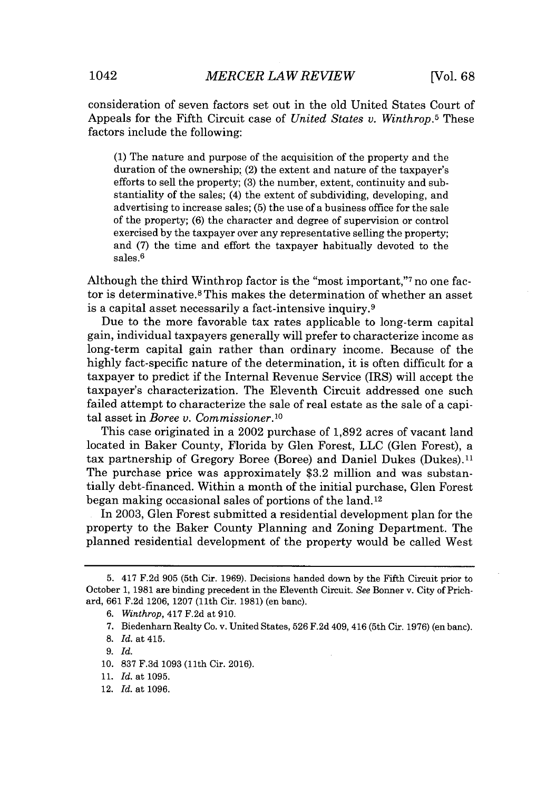consideration of seven factors set out in the old United States Court of Appeals for the Fifth Circuit case of *United States v. Winthrop.<sup>5</sup>*These factors include the following:

**(1)** The nature and purpose of the acquisition of the property and the duration of the ownership; (2) the extent and nature of the taxpayer's efforts to sell the property; **(3)** the number, extent, continuity and substantiality of the sales; (4) the extent of subdividing, developing, and advertising to increase sales; **(5)** the use of a business office for the sale of the property; **(6)** the character and degree of supervision or control exercised **by** the taxpayer over any representative selling the property; and **(7)** the time and effort the taxpayer habitually devoted to the sales.<sup>6</sup>

Although the third Winthrop factor is the "most important,"<sup>7</sup> no one factor is determinative.<sup>8</sup>This makes the determination of whether an asset is a capital asset necessarily a fact-intensive inquiry.<sup>9</sup>

Due to the more favorable tax rates applicable to long-term capital gain, individual taxpayers generally will prefer to characterize income as long-term capital gain rather than ordinary income. Because of the **highly** fact-specific nature of the determination, it is often difficult for a taxpayer to predict if the Internal Revenue Service (IRS) will accept the taxpayer's characterization. The Eleventh Circuit addressed one such failed attempt to characterize the sale of real estate as the sale of a capital asset in *Boree v. Commissioner.<sup>10</sup>*

This case originated in a 2002 purchase of **1,892** acres of vacant land located in Baker County, Florida **by** Glen Forest, **LLC** (Glen Forest), a tax partnership of Gregory Boree (Boree) and Daniel Dukes (Dukes).<sup>11</sup> The purchase price was approximately **\$3.2** million and was substantially debt-financed. Within a month of the initial purchase, Glen Forest began making occasional sales of portions of the land. <sup>12</sup>

In **2003,** Glen Forest submitted a residential development plan for the property to the Baker County Planning and Zoning Department. The planned residential development of the property would be called West

**<sup>5.</sup>** 417 **F.2d 905** (5th Cir. **1969).** Decisions handed down **by** the Fifth Circuit prior to October **1, 1981** are binding precedent in the Eleventh Circuit. *See* Bonner v. City of Prichard, **661 F.2d 1206, 1207 (11th** Cir. **1981)** (en banc).

**<sup>6.</sup>** *Winthrop,* 417 **F.2d** at **910.**

**<sup>7.</sup>** Biedenharn Realty Co. v. United States, **526 F.2d** 409, 416 (5th Cir. **1976)** (en banc).

**<sup>8.</sup>** *Id.* at 415.

**<sup>9.</sup>** *Id.*

**<sup>10. 837</sup> F.3d 1093** (11th Cir. **2016).**

**<sup>11.</sup>** *Id.* at **1095.**

<sup>12.</sup> *Id.* at **1096.**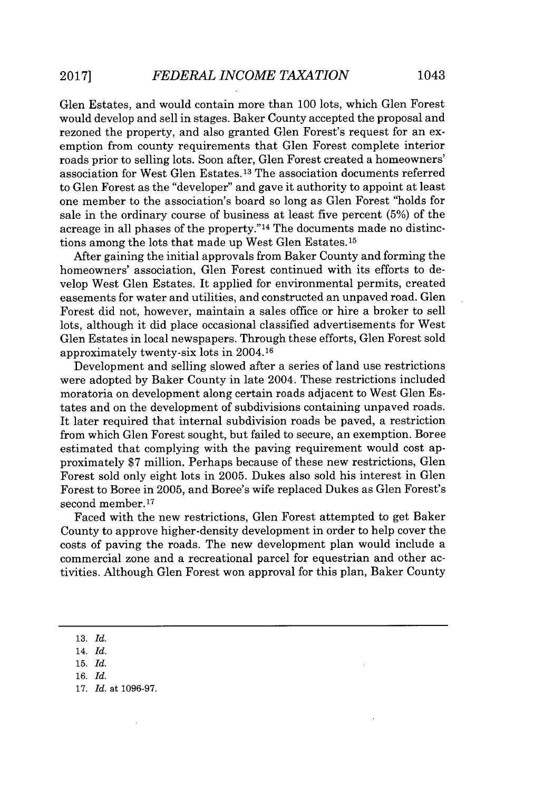Glen Estates, and would contain more than **100** lots, which Glen Forest would develop and sell in stages. Baker County accepted the proposal and rezoned the property, and also granted Glen Forest's request for an exemption from county requirements that Glen Forest complete interior roads prior to selling lots. Soon after, Glen Forest created a homeowners' association for West Glen Estates. **13** The association documents referred to Glen Forest as the "developer" and gave it authority to appoint at least one member to the association's board so long as Glen Forest "holds for sale in the ordinary course of business at least five percent **(5%)** of the acreage in all phases of the property."<sup>14</sup> The documents made no distinctions among the lots that made up West Glen Estates. <sup>15</sup>

After gaining the initial approvals from Baker County and forming the homeowners' association, Glen Forest continued with its efforts to develop West Glen Estates. It applied for environmental permits, created easements for water and utilities, and constructed an unpaved road. Glen Forest did not, however, maintain a sales office or hire a broker to sell lots, although it did place occasional classified advertisements for West Glen Estates in local newspapers. Through these efforts, Glen Forest sold approximately twenty-six lots in 2004.16

Development and selling slowed after a series of land use restrictions were adopted **by** Baker County in late 2004. These restrictions included moratoria on development along certain roads adjacent to West Glen Estates and on the development of subdivisions containing unpaved roads. It later required that internal subdivision roads be paved, a restriction from which Glen Forest sought, but failed to secure, an exemption. Boree estimated that complying with the paving requirement would cost approximately **\$7** million. Perhaps because of these new restrictions, Glen Forest sold only eight lots in **2005.** Dukes also sold his interest in Glen Forest to Boree in **2005,** and Boree's wife replaced Dukes as Glen Forest's second member.<sup>17</sup>

Faced with the new restrictions, Glen Forest attempted to get Baker County to approve higher-density development in order to help cover the costs of paving the roads. The new development plan would include a commercial zone and a recreational parcel for equestrian and other activities. Although Glen Forest won approval for this plan, Baker County

- 14. *Id.*
- **15.** *Id.*
- **16.** *Id.*
- **17.** *Id.* at **1096-97.**

**<sup>13.</sup>** *Id.*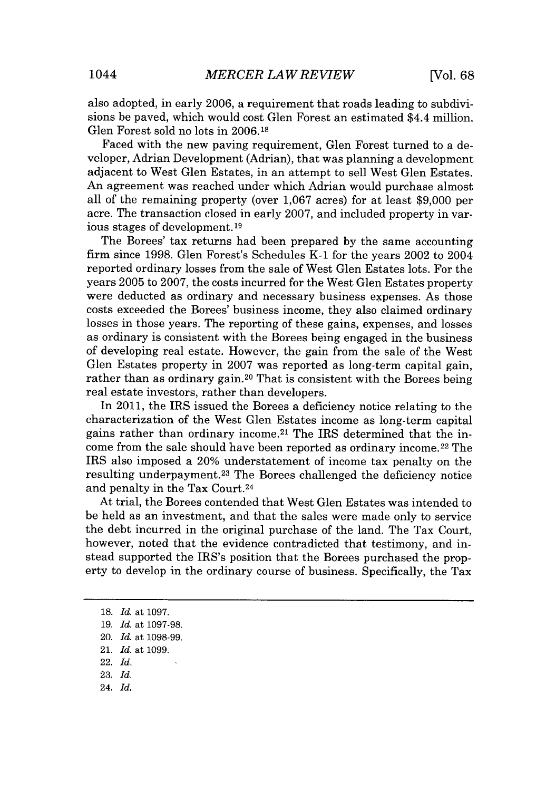also adopted, in early **2006,** a requirement that roads leading to subdivisions be paved, which would cost Glen Forest an estimated \$4.4 million. Glen Forest sold no lots in **2006.18**

Faced with the new paving requirement, Glen Forest turned to a developer, Adrian Development (Adrian), that was planning a development adjacent to West Glen Estates, in an attempt to sell West Glen Estates. An agreement was reached under which Adrian would purchase almost all of the remaining property (over **1,067** acres) for at least **\$9,000** per acre. The transaction closed in early **2007,** and included property in various stages of development.19

The Borees' tax returns had been prepared **by** the same accounting firm since **1998.** Glen Forest's Schedules K-1 for the years 2002 to 2004 reported ordinary losses from the sale of West Glen Estates lots. For the years **2005** to **2007,** the costs incurred for the West Glen Estates property were deducted as ordinary and necessary business expenses. As those costs exceeded the Borees' business income, they also claimed ordinary losses in those years. The reporting of these gains, expenses, and losses as ordinary is consistent with the Borees being engaged in the business of developing real estate. However, the gain from the sale of the West Glen Estates property in **2007** was reported as long-term capital gain, rather than as ordinary gain.<sup>20</sup> That is consistent with the Borees being real estate investors, rather than developers.

In 2011, the IRS issued the Borees a deficiency notice relating to the characterization of the West Glen Estates income as long-term capital gains rather than ordinary income.<sup>21</sup> The IRS determined that the income from the sale should have been reported as ordinary income.<sup>22</sup> The IRS also imposed a 20% understatement of income tax penalty on the resulting underpayment.<sup>23</sup> The Borees challenged the deficiency notice and penalty in the Tax Court.<sup>24</sup>

At trial, the Borees contended that West Glen Estates was intended to be held as an investment, and that the sales were made only to service the debt incurred in the original purchase of the land. The Tax Court, however, noted that the evidence contradicted that testimony, and instead supported the IRS's position that the Borees purchased the property to develop in the ordinary course of business. Specifically, the Tax

**18.** *Id.* at **1097. 19.** *Id.* at **1097-98.** 20. *Id.* at **1098-99.** 21. *Id.* at **1099.** 22. *Id.* **23.** *Id.* 24. *Id.*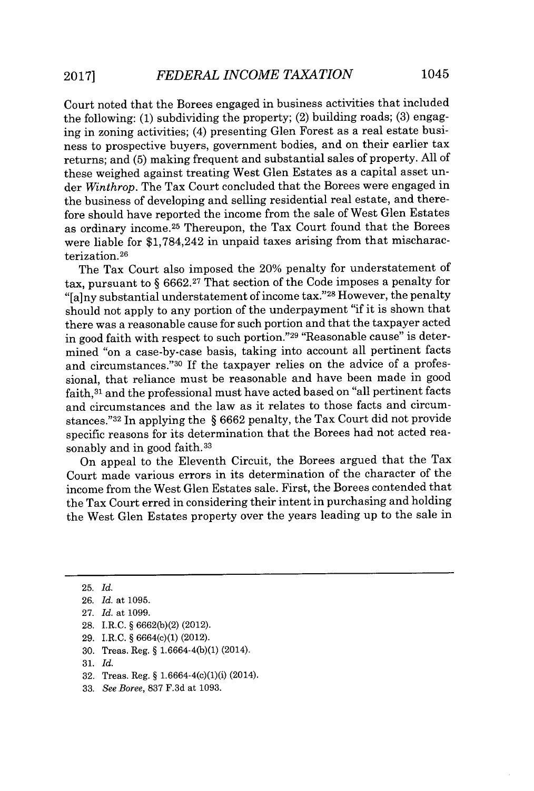Court noted that the Borees engaged in business activities that included the following: **(1)** subdividing the property; (2) building roads; **(3)** engaging in zoning activities; (4) presenting Glen Forest as a real estate business to prospective buyers, government bodies, and on their earlier tax returns; and **(5)** making frequent and substantial sales of property. **All** of these weighed against treating West Glen Estates as a capital asset under *Winthrop.* The Tax Court concluded that the Borees were engaged in the business of developing and selling residential real estate, and therefore should have reported the income from the sale of West Glen Estates as ordinary income.<sup>25</sup> Thereupon, the Tax Court found that the Borees were liable for \$1,784,242 in unpaid taxes arising from that mischaracterization.<sup>26</sup>

The Tax Court also imposed the 20% penalty for understatement of tax, pursuant to **§** 6662.27 That section of the Code imposes a penalty for "[a]ny substantial understatement of income tax."<sup>28</sup>However, the penalty should not apply to any portion of the underpayment "if it is shown that there was a reasonable cause for such portion and that the taxpayer acted in good faith with respect to such portion."<sup>29</sup> "Reasonable cause" is determined "on a case-by-case basis, taking into account all pertinent facts and circumstances."<sup>30</sup> If the taxpayer relies on the advice of a professional, that reliance must be reasonable and have been made in good faith,<sup>31</sup> and the professional must have acted based on "all pertinent facts and circumstances and the law as it relates to those facts and circumstances." <sup>32</sup>In applying the *§* **6662** penalty, the Tax Court did not provide specific reasons for its determination that the Borees had not acted reasonably and in good faith.<sup>33</sup>

On appeal to the Eleventh Circuit, the Borees argued that the Tax Court made various errors in its determination of the character of the income from the West Glen Estates sale. First, the Borees contended that the Tax Court erred in considering their intent in purchasing and holding the West Glen Estates property over the years leading up to the sale in

- **28.** I.R.C. **§ 6662(b)(2)** (2012).
- **29.** I.R.C. **§ 6664(c)(1)** (2012).
- **30.** Treas. Reg. **§** 1.6664-4(b)(1) (2014).
- **31.** *Id.*
- **32.** Treas. Reg. **§** 1.6664-4(c)(1)(i) (2014).
- **33.** *See Boree,* **837 F.3d** at **1093.**

**<sup>25.</sup>** *Id.*

**<sup>26.</sup>** *Id.* at **1095.**

**<sup>27.</sup>** *Id.* at **1099.**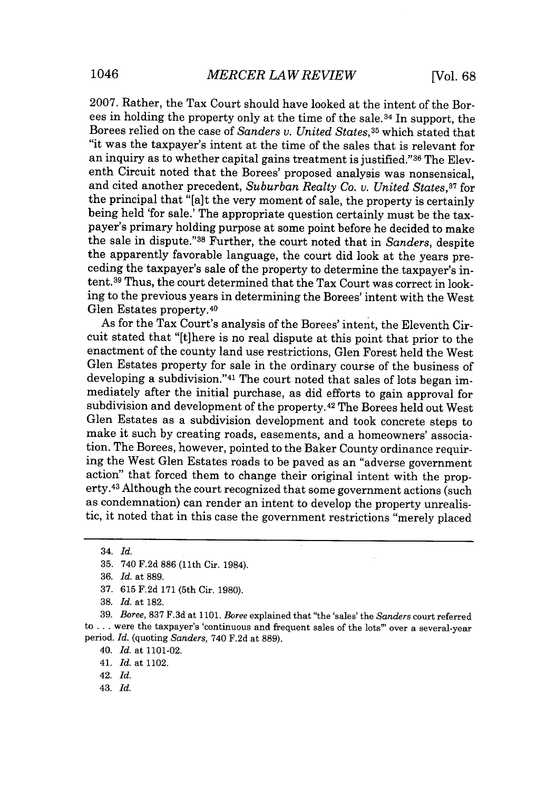**2007.** Rather, the Tax Court should have looked at the intent of the Borees in holding the property only at the time of the sale.<sup>34</sup> In support, the Borees relied on the case of *Sanders v. United States,<sup>35</sup>*which stated that "it was the taxpayer's intent at the time of the sales that is relevant for an inquiry as to whether capital gains treatment is justified."36 The Eleventh Circuit noted that the Borees' proposed analysis was nonsensical, and cited another precedent, *Suburban Realty Co. v. United States,3<sup>7</sup>*for the principal that "[a]t the very moment of sale, the property is certainly being held 'for sale.' The appropriate question certainly must be the taxpayer's primary holding purpose at some point before he decided to make the sale in dispute."<sup>38</sup> Further, the court noted that in *Sanders*, despite the apparently favorable language, the court did look at the years preceding the taxpayer's sale of the property to determine the taxpayer's intent.39 Thus, the court determined that the Tax Court was correct in looking to the previous years in determining the Borees' intent with the West Glen Estates property. <sup>40</sup>

As for the Tax Court's analysis of the Borees' intent, the Eleventh Circuit stated that "[t]here is no real dispute at this point that prior to the enactment of the county land use restrictions, Glen Forest held the West Glen Estates property for sale in the ordinary course of the business of developing a subdivision."41 The court noted that sales of lots began immediately after the initial purchase, as did efforts to gain approval for subdivision and development of the property.<sup>42</sup> The Borees held out West Glen Estates as a subdivision development and took concrete steps to make it such **by** creating roads, easements, and a homeowners' association. The Borees, however, pointed to the Baker County ordinance requiring the West Glen Estates roads to be paved as an "adverse government action" that forced them to change their original intent with the property.<sup>43</sup>Although the court recognized that some government actions (such as condemnation) can render an intent to develop the property unrealistic, it noted that in this case the government restrictions "merely placed

**36.** *Id.* at **889.**

**38.** *Id.* at **182.**

**39.** *Boree,* **837 F.3d** at **1101. Boree** explained that "the 'sales' the *Sanders* court referred to **.** . **.** were the taxpayer's 'continuous and frequent sales of the lots"' over a several-year period. *Id.* (quoting *Sanders,* 740 **F.2d** at **889).**

40. *Id.* at 1101-02.

41. *Id.* at 1102.

42. *Id.*

43. *Id.*

<sup>34.</sup> *Id.*

**<sup>35.</sup>** 740 **F.2d 886 (11th** Cir. 1984).

**<sup>37. 615</sup> F.2d 171** (5th Cir. **1980).**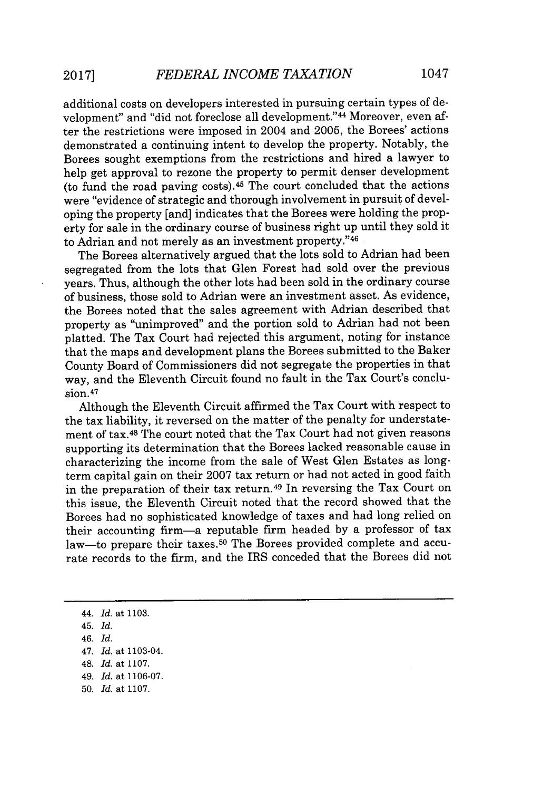additional costs on developers interested in pursuing certain types of development" and "did not foreclose all development."<sup>44</sup> Moreover, even after the restrictions were imposed in 2004 and **2005,** the Borees' actions demonstrated a continuing intent to develop the property. Notably, the Borees sought exemptions from the restrictions and hired a lawyer to help get approval to rezone the property to permit denser development (to fund the road paving costs).<sup>45</sup>The court concluded that the actions were "evidence of strategic and thorough involvement in pursuit of developing the property [and] indicates that the Borees were holding the property for sale in the ordinary course of business right up until they sold it to Adrian and not merely as an investment property."46

The Borees alternatively argued that the lots sold to Adrian had been segregated from the lots that Glen Forest had sold over the previous years. Thus, although the other lots had been sold in the ordinary course of business, those sold to Adrian were an investment asset. As evidence, the Borees noted that the sales agreement with Adrian described that property as "unimproved" and the portion sold to Adrian had not been platted. The Tax Court had rejected this argument, noting for instance that the maps and development plans the Borees submitted to the Baker County Board of Commissioners did not segregate the properties in that way, and the Eleventh Circuit found no fault in the Tax Court's conclusion.<sup>47</sup>

Although the Eleventh Circuit affirmed the Tax Court with respect to the tax liability, it reversed on the matter of the penalty for understatement of tax.<sup>48</sup> The court noted that the Tax Court had not given reasons supporting its determination that the Borees lacked reasonable cause in characterizing the income from the sale of West Glen Estates as longterm capital gain on their **2007** tax return or had not acted in good faith in the preparation of their tax return.<sup>49</sup> In reversing the Tax Court on this issue, the Eleventh Circuit noted that the record showed that the Borees had no sophisticated knowledge of taxes and had long relied on their accounting firm-a reputable firm headed **by** a professor of tax law-to prepare their taxes.<sup>50</sup> The Borees provided complete and accurate records to the firm, and the IRS conceded that the Borees did not

- *47. Id.* **at** 1103-04.
- 48. *Id.* **at 1107.**
- *49. Id.* **at 1106-07.**
- **50.** *Id.* **at 1107.**

*<sup>44.</sup> Id.* **at 1103.**

<sup>45.</sup> *Id.*

*<sup>46.</sup> Id.*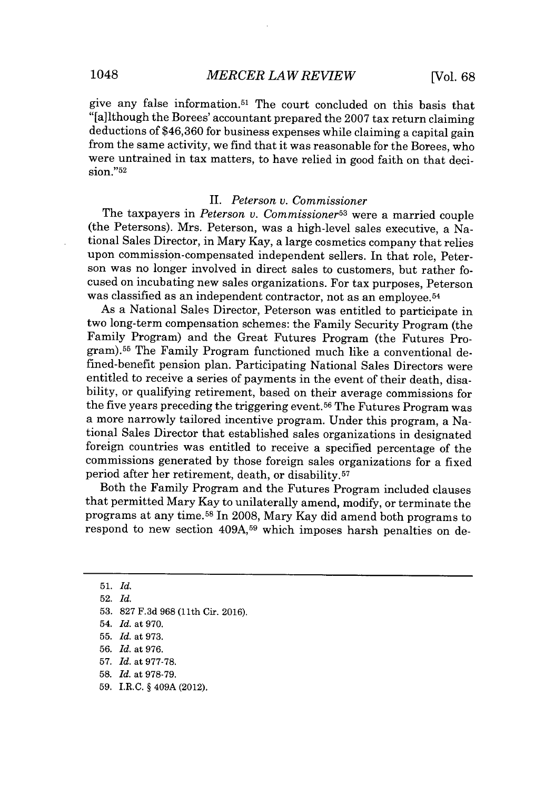give any false information.51 The court concluded on this basis that "[a]lthough the Borees' accountant prepared the **2007** tax return claiming deductions of **\$46,360** for business expenses while claiming a capital gain from the same activity, we find that it was reasonable for the Borees, who were untrained in tax matters, to have relied in good faith on that decision."<sup>52</sup>

### *II. Peterson v. Commissioner*

The taxpayers in *Peterson v. Commissioner*<sup>53</sup> were a married couple (the Petersons). Mrs. Peterson, was a high-level sales executive, a National Sales Director, in Mary Kay, a large cosmetics company that relies upon commission-compensated independent sellers. In that role, Peterson was no longer involved in direct sales to customers, but rather focused on incubating new sales organizations. For tax purposes, Peterson was classified as an independent contractor, not as an employee. <sup>54</sup>

As a National Sales Director, Peterson was entitled to participate in two long-term compensation schemes: the Family Security Program (the Family Program) and the Great Futures Program (the Futures Program).55 The Family Program functioned much like a conventional defined-benefit pension plan. Participating National Sales Directors were entitled to receive a series of payments in the event of their death, disability, or qualifying retirement, based on their average commissions for the five years preceding the triggering event. 56 The Futures Program was a more narrowly tailored incentive program. Under this program, a National Sales Director that established sales organizations in designated foreign countries was entitled to receive a specified percentage of the commissions generated **by** those foreign sales organizations for a fixed period after her retirement, death, or disability.<sup>57</sup>

Both the Family Program and the Futures Program included clauses that permitted Mary Kay to unilaterally amend, modify, or terminate the programs at any time.<sup>58</sup> In 2008, Mary Kay did amend both programs to respond to new section **409A,59** which imposes harsh penalties on de-

**51.** *Id.*

**52.** *Id.*

- **56.** *Id.* at **976.**
- **57.** *Id.* at **977-78.**
- **58.** *Id.* at **978-79.**
- **59.** I.R.C. **§** 409A (2012).

**<sup>53. 827</sup> F.3d 968 (11th** Cir. **2016).**

<sup>54.</sup> *Id.* at **970.**

**<sup>55.</sup>** *Id.* at **973.**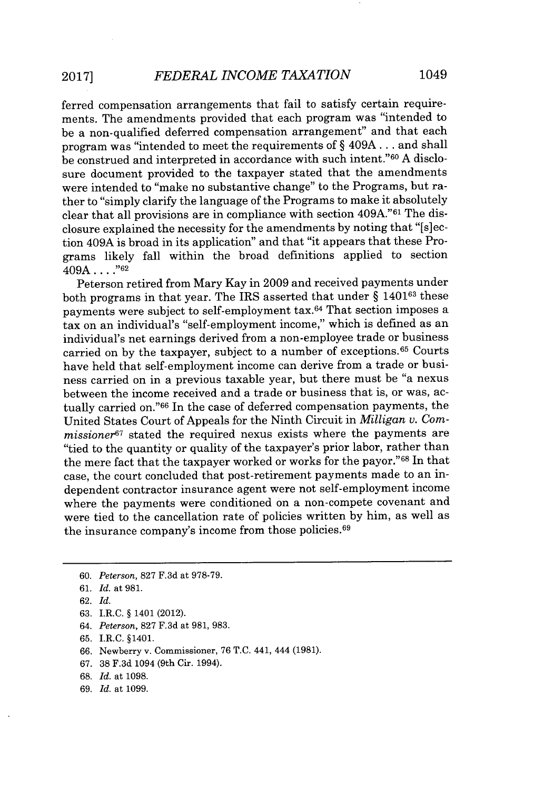ferred compensation arrangements that fail to satisfy certain requirements. The amendments provided that each program was "intended to be a non-qualified deferred compensation arrangement" and that each program was "intended to meet the requirements of **§** 409A **. ..** and shall be construed and interpreted in accordance with such intent."<sup>6</sup> <sup>0</sup>**A** disclosure document provided to the taxpayer stated that the amendments were intended to "make no substantive change" to the Programs, but rather to "simply clarify the language of the Programs to make it absolutely clear that all provisions are in compliance with section 409A."<sup>6</sup> 1 The disclosure explained the necessity for the amendments **by** noting that "[s]ection 409A is broad in its application" and that "it appears that these Programs likely fall within the broad definitions applied to section 409A **. . . "62**

Peterson retired from Mary Kay in **2009** and received payments under both programs in that year. The IRS asserted that under *§* 140163 these payments were subject to self-employment tax.<sup>64</sup> That section imposes a tax on an individual's "self-employment income," which is defined as an individual's net earnings derived from a non-employee trade or business carried on by the taxpayer, subject to a number of exceptions.<sup>65</sup> Courts have held that self-employment income can derive from a trade or business carried on in a previous taxable year, but there must be "a nexus between the income received and a trade or business that is, or was, actually carried on."<sup>66</sup> In the case of deferred compensation payments, the United States Court of Appeals for the Ninth Circuit in *Milligan v. Commissioner*<sup>67</sup> stated the required nexus exists where the payments are "tied to the quantity or quality of the taxpayer's prior labor, rather than the mere fact that the taxpayer worked or works for the payor."68 In that case, the court concluded that post-retirement payments made to an independent contractor insurance agent were not self-employment income where the payments were conditioned on a non-compete covenant and were tied to the cancellation rate of policies written **by** him, as well as the insurance company's income from those policies.<sup>69</sup>

- **66.** Newberry v. Commissioner, **76 T.C.** 441, 444 **(1981).**
- **67. 38 F.3d** 1094 (9th Cir. 1994).
- **68.** *Id. at* **1098.**
- *69. Id. at* **1099.**

**<sup>60.</sup>** *Peterson,* **827 F.3d** at **978-79.**

**<sup>61.</sup>** *Id. at* **981.**

**<sup>62.</sup>** *Id.*

**<sup>63.</sup>** I.R.C. **§** 1401 (2012).

*<sup>64.</sup> Peterson,* **827 F.3d** at **981, 983.**

*<sup>65.</sup>* I.R.C. §1401.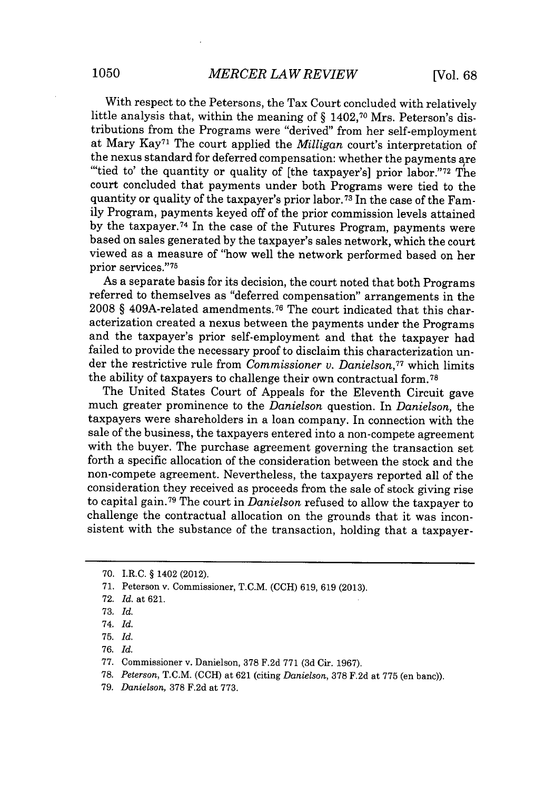With respect to the Petersons, the Tax Court concluded with relatively little analysis that, within the meaning of *§* 1402,70 Mrs. Peterson's distributions from the Programs were "derived" from her self-employment at Mary Kay<sup>71</sup> The court applied the *Milligan* court's interpretation of the nexus standard for deferred compensation: whether the payments are "tied to' the quantity or quality of  $[$ the taxpayer's $]$  prior labor." $72$  The court concluded that payments under both Programs were tied to the quantity or quality of the taxpayer's prior labor.<sup>73</sup> In the case of the Family Program, payments keyed off of the prior commission levels attained by the taxpayer.<sup>74</sup> In the case of the Futures Program, payments were based on sales generated **by** the taxpayer's sales network, which the court viewed as a measure of "how well the network performed based on her prior services."75

As a separate basis for its decision, the court noted that both Programs referred to themselves as "deferred compensation" arrangements in the **2008 §** 409A-related amendments.76 The court indicated that this characterization created a nexus between the payments under the Programs and the taxpayer's prior self-employment and that the taxpayer had failed to provide the necessary proof to disclaim this characterization under the restrictive rule from *Commissioner v. Danielson,<sup>77</sup>*which limits the ability of taxpayers to challenge their own contractual form.<sup>78</sup>

The United States Court of Appeals for the Eleventh Circuit gave much greater prominence to the *Danielson* question. In *Danielson,* the taxpayers were shareholders in a loan company. In connection with the sale of the business, the taxpayers entered into a non-compete agreement with the buyer. The purchase agreement governing the transaction set forth a specific allocation of the consideration between the stock and the non-compete agreement. Nevertheless, the taxpayers reported all of the consideration they received as proceeds from the sale of stock giving rise to capital gain.<sup>79</sup>The court in *Danielson* refused to allow the taxpayer to challenge the contractual allocation on the grounds that it was inconsistent with the substance of the transaction, holding that a taxpayer-

**75.** *Id.*

**<sup>70.</sup>** I.R.C. **§** 1402 (2012).

**<sup>71.</sup>** Peterson v. Commissioner, T.C.M. **(CCH) 619, 619 (2013).**

**<sup>72.</sup>** *Id. at* **621.**

**<sup>73.</sup>** *Id.*

<sup>74.</sup> *Id.*

*<sup>76.</sup> Id.*

**<sup>77.</sup>** Commissioner v. Danielson, **378 F.2d 771 (3d** Cir. **1967).**

**<sup>78.</sup>** *Peterson,* T.C.M. **(CCH)** at **621** (citing *Danielson,* **378 F.2d** at **775** (en banc)).

**<sup>79.</sup>** *Danielson,* **378 F.2d** at **773.**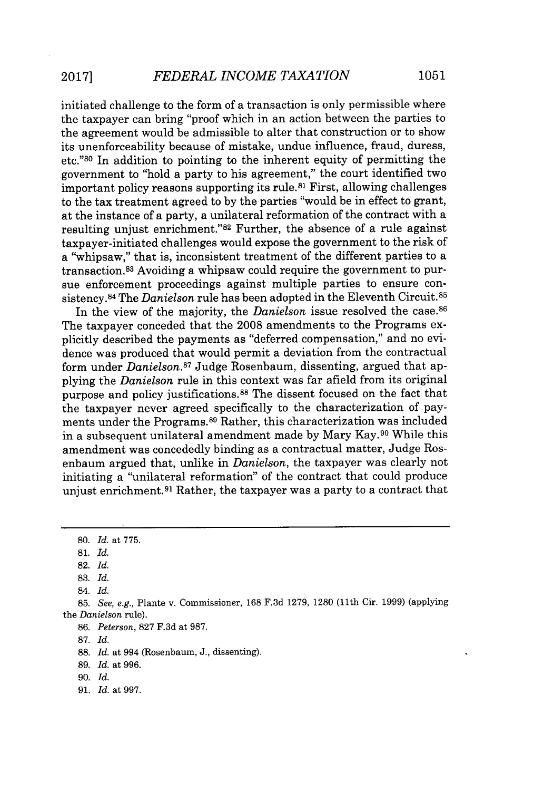initiated challenge to the form of a transaction is only permissible where the taxpayer can bring "proof which in an action between the parties to the agreement would be admissible to alter that construction or to show its unenforceability because of mistake, undue influence, fraud, duress, etc."80 In addition to pointing to the inherent equity of permitting the government to "hold a party to his agreement," the court identified two important policy reasons supporting its rule.<sup>81</sup> First, allowing challenges to the tax treatment agreed to **by** the parties "would be in effect to grant, at the instance of a party, a unilateral reformation of the contract with a resulting unjust enrichment."<sup>82</sup> Further, the absence of a rule against taxpayer-initiated challenges would expose the government to the risk of a "whipsaw," that is, inconsistent treatment of the different parties to a transaction.8 3 Avoiding a whipsaw could require the government to pursue enforcement proceedings against multiple parties to ensure consistency.<sup>84</sup> The *Danielson* rule has been adopted in the Eleventh Circuit.<sup>85</sup>

In the view of the majority, the *Danielson* issue resolved the case.<sup>86</sup> The taxpayer conceded that the **2008** amendments to the Programs explicitly described the payments as "deferred compensation," and no evidence was produced that would permit a deviation from the contractual form under *Danielson.87* Judge Rosenbaum, dissenting, argued that applying the *Danielson* rule in this context was far afield from its original purpose and policy justifications.8 8 The dissent focused on the fact that the taxpayer never agreed specifically to the characterization of payments under the Programs.<sup>89</sup> Rather, this characterization was included in a subsequent unilateral amendment made **by** Mary Kay.<sup>9</sup> <sup>0</sup>While this amendment was concededly binding as a contractual matter, Judge Rosenbaum argued that, unlike in *Danielson,* the taxpayer was clearly not initiating a "unilateral reformation" of the contract that could produce unjust enrichment.<sup>91</sup> Rather, the taxpayer was a party to a contract that

**87.** *Id.*

**88.** *Id. at* 994 (Rosenbaum, **J.,** dissenting).

**89.** *Id. at 996.*

- 90. *Id.*
- **91.** *Id. at 997.*

**<sup>80.</sup>** *Id. at* **775.**

**<sup>81.</sup>** *Id.*

**<sup>82.</sup>** *Id.*

**<sup>83.</sup>** *Id.*

<sup>84.</sup> *Id.*

**<sup>85.</sup>** *See, e.g.,* Plante v. Commissioner, **168 F.3d 1279, 1280** (11th Cir. **1999)** (applying the *Danielson* rule).

**<sup>86.</sup>** *Peterson,* **827 F.3d** at **987.**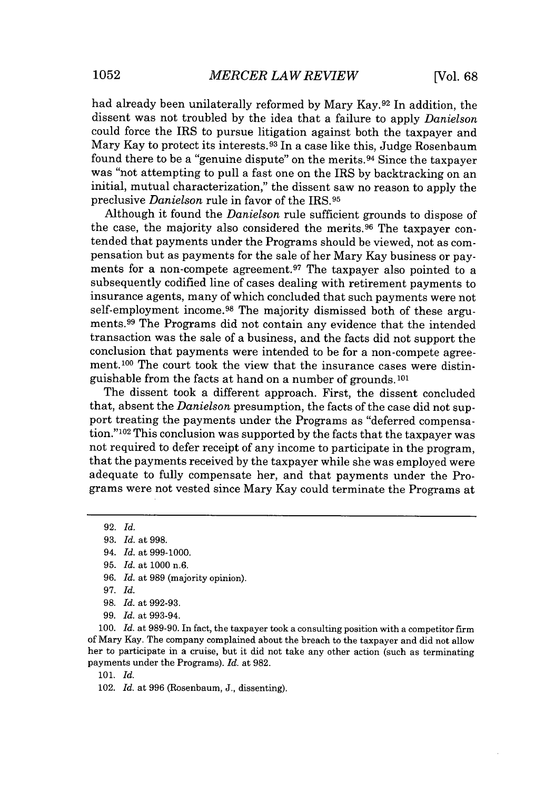had already been unilaterally reformed **by** Mary Kay. <sup>92</sup>In addition, the dissent was not troubled **by** the idea that a failure to apply *Danielson* could force the IRS to pursue litigation against both the taxpayer and Mary Kay to protect its interests.<sup>93</sup>In a case like this, Judge Rosenbaum found there to be a "genuine dispute" on the merits.<sup>94</sup> Since the taxpayer was "not attempting to pull a fast one on the IRS **by** backtracking on an initial, mutual characterization," the dissent saw no reason to apply the preclusive *Danielson* rule in favor of the IRS.96

Although it found the *Danielson* rule sufficient grounds to dispose of the case, the majority also considered the merits.96 The taxpayer contended that payments under the Programs should be viewed, not as compensation but as payments for the sale of her Mary Kay business or payments for a non-compete agreement.<sup>97</sup> The taxpayer also pointed to a subsequently codified line of cases dealing with retirement payments to insurance agents, many of which concluded that such payments were not self-employment income.<sup>98</sup> The majority dismissed both of these arguments.<sup>99</sup>The Programs did not contain any evidence that the intended transaction was the sale of a business, and the facts did not support the conclusion that payments were intended to be for a non-compete agreement.100 The court took the view that the insurance cases were distinguishable from the facts at hand on a number of grounds. <sup>10</sup>1

The dissent took a different approach. First, the dissent concluded that, absent the *Danielson* presumption, the facts of the case did not support treating the payments under the Programs as "deferred compensation." <sup>102</sup>This conclusion was supported **by** the facts that the taxpayer was not required to defer receipt of any income to participate in the program, that the payments received **by** the taxpayer while she was employed were adequate to fully compensate her, and that payments under the Programs were not vested since Mary Kay could terminate the Programs at

**100.** *Id.* at **989-90.** In fact, the taxpayer took a consulting position with a competitor firm of Mary Kay. The company complained about the breach to the taxpayer and did not allow her to participate in a cruise, but it did not take any other action (such as terminating payments under the Programs). *Id.* at **982.**

*101. Id.*

**<sup>92.</sup>** *Id.*

**<sup>93.</sup>** *Id.* at **998.**

*<sup>94.</sup> Id.* at **999-1000.**

**<sup>95.</sup>** *Id.* at **1000** n.6.

*<sup>96.</sup> Id.* at **989** (majority opinion).

*<sup>97.</sup> Id.*

**<sup>98.</sup>** *Id.* at **992-93.**

*<sup>99.</sup> Id.* at 993-94.

**<sup>102.</sup>** *Id.* at **996** (Rosenbaum, **J.,** dissenting).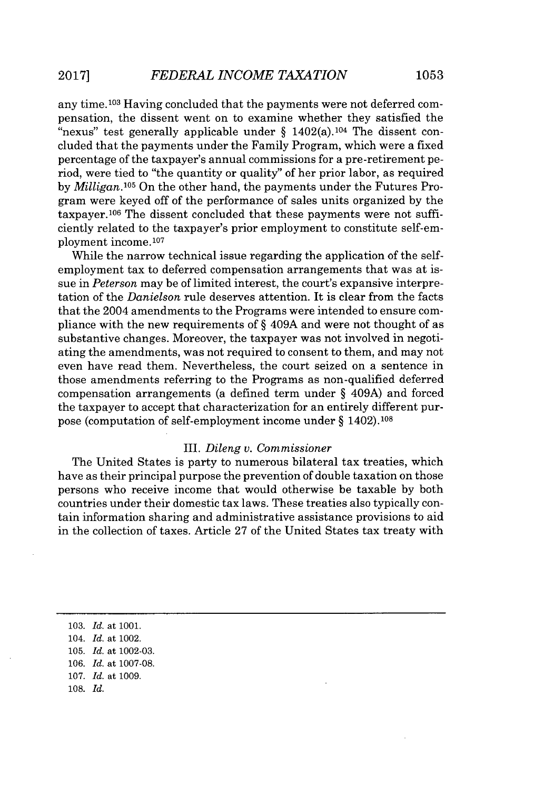any time.<sup>103</sup> Having concluded that the payments were not deferred compensation, the dissent went on to examine whether they satisfied the "nexus" test generally applicable under  $\S$  1402(a).<sup>104</sup> The dissent concluded that the payments under the Family Program, which were a fixed percentage of the taxpayer's annual commissions for a pre-retirement period, were tied to "the quantity or quality" of her prior labor, as required **by** *Milligan.<sup>05</sup>*On the other hand, the payments under the Futures Program were keyed off of the performance of sales units organized **by** the taxpayer.<sup>106</sup> The dissent concluded that these payments were not sufficiently related to the taxpayer's prior employment to constitute self-employment income.<sup>107</sup>

While the narrow technical issue regarding the application of the selfemployment tax to deferred compensation arrangements that was at issue in *Peterson* may be of limited interest, the court's expansive interpretation of the *Danielson* rule deserves attention. It is clear from the facts that the 2004 amendments to the Programs were intended to ensure compliance with the new requirements of **§** 409A and were not thought of as substantive changes. Moreover, the taxpayer was not involved in negotiating the amendments, was not required to consent to them, and may not even have read them. Nevertheless, the court seized on a sentence in those amendments referring to the Programs as non-qualified deferred compensation arrangements (a defined term under **§** 409A) and forced the taxpayer to accept that characterization for an entirely different purpose (computation of self-employment income under *§* 1402).10s

#### III. *Dileng v. Commissioner*

The United States is party to numerous bilateral tax treaties, which have as their principal purpose the prevention of double taxation on those persons who receive income that would otherwise be taxable **by** both countries under their domestic tax laws. These treaties also typically contain information sharing and administrative assistance provisions to aid in the collection of taxes. Article **27** of the United States tax treaty with

**103.** *Id.* at **1001.** 104. *Id.* at 1002. **105.** *Id.* at **1002-03. 106.** *Id.* at **1007-08. 107.** *Id.* at **1009. 108.** *Id.*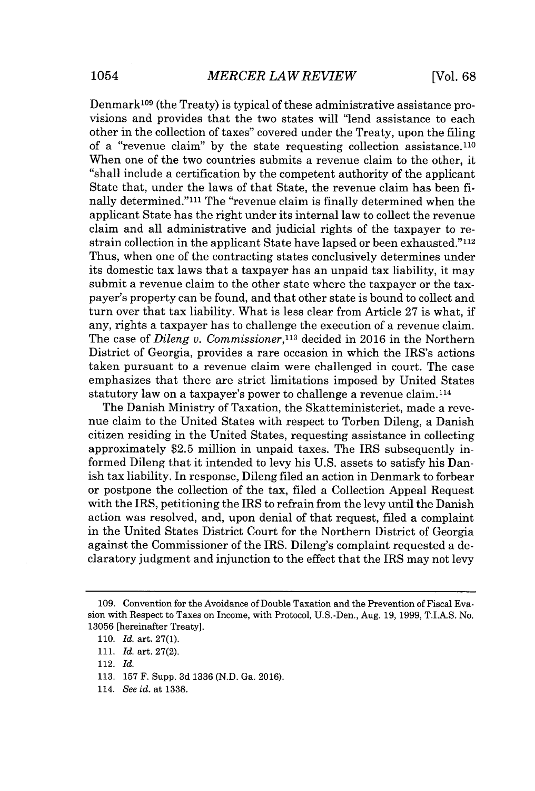Denmark<sup>109</sup> (the Treaty) is typical of these administrative assistance provisions and provides that the two states will "lend assistance to each other in the collection of taxes" covered under the Treaty, upon the filing of a "revenue claim" **by** the state requesting collection assistance. <sup>110</sup> When one of the two countries submits a revenue claim to the other, it "shall include a certification **by** the competent authority of the applicant State that, under the laws of that State, the revenue claim has been **fi**nally determined."111 The "revenue claim is finally determined when the applicant State has the right under its internal law to collect the revenue claim and all administrative and judicial rights of the taxpayer to restrain collection in the applicant State have lapsed or been exhausted." <sup>112</sup> Thus, when one of the contracting states conclusively determines under its domestic tax laws that a taxpayer has an unpaid tax liability, it may submit a revenue claim to the other state where the taxpayer or the taxpayer's property can be found, and that other state is bound to collect and turn over that tax liability. What is less clear from Article **27** is what, if any, rights a taxpayer has to challenge the execution of a revenue claim. The case of *Dileng v. Commissioner,<sup>113</sup>*decided in **2016** in the Northern District of Georgia, provides a rare occasion in which the IRS's actions taken pursuant to a revenue claim were challenged in court. The case emphasizes that there are strict limitations imposed **by** United States statutory law on a taxpayer's power to challenge a revenue claim.114

The Danish Ministry of Taxation, the Skatteministeriet, made a revenue claim to the United States with respect to Torben Dileng, a Danish citizen residing in the United States, requesting assistance in collecting approximately **\$2.5** million in unpaid taxes. The IRS subsequently informed Dileng that it intended to levy his **U.S.** assets to satisfy his Danish tax liability. In response, Dileng filed an action in Denmark to forbear or postpone the collection of the tax, filed a Collection Appeal Request with the IRS, petitioning the IRS to refrain from the levy until the Danish action was resolved, and, upon denial of that request, filed a complaint in the United States District Court for the Northern District of Georgia against the Commissioner of the IRS. Dileng's complaint requested a declaratory judgment and injunction to the effect that the IRS may not levy

**<sup>109.</sup>** Convention for the Avoidance of Double Taxation and the Prevention of Fiscal Evasion with Respect to Taxes on Income, with Protocol, U.S.-Den., Aug. **19, 1999,** T.I.A.S. No. **13056** [hereinafter Treaty].

*<sup>110.</sup> Id.* art. **27(1).**

*<sup>111.</sup> Id.* art. **27(2).**

<sup>112.</sup> *Id.*

**<sup>113. 157</sup>** F. Supp. **3d 1336 (N.D.** Ga. **2016).**

<sup>114.</sup> *See id.* at **1338.**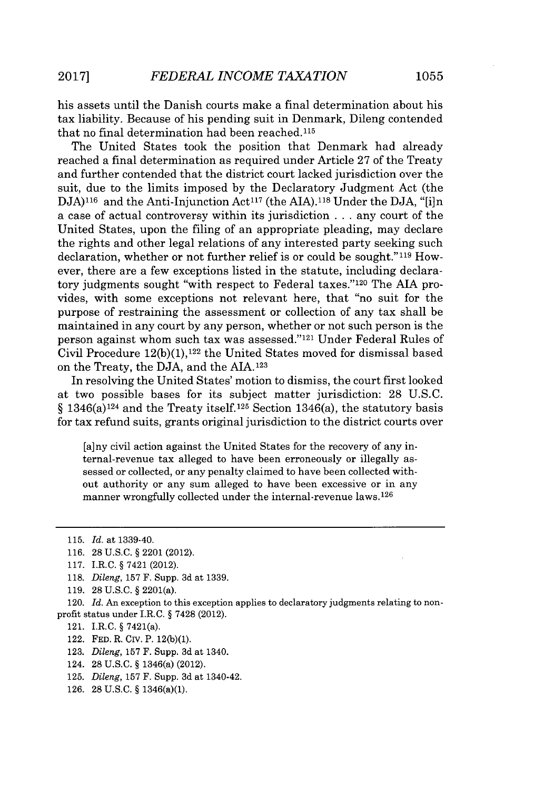his assets until the Danish courts make a final determination about his tax liability. Because of his pending suit in Denmark, Dileng contended that no final determination had been reached. <sup>115</sup>

The United States took the position that Denmark had already reached a final determination as required under Article **27** of the Treaty and further contended that the district court lacked jurisdiction over the suit, due to the limits imposed **by** the Declaratory Judgment Act (the DJA)<sup>116</sup> and the Anti-Injunction Act<sup>117</sup> (the AIA).<sup>118</sup> Under the DJA, "[i]n a case of actual controversy within its jurisdiction **.** . **.** any court of the United States, upon the filing of an appropriate pleading, may declare the rights and other legal relations of any interested party seeking such declaration, whether or not further relief is or could be sought."<sup>119</sup> However, there are a few exceptions listed in the statute, including declaratory judgments sought "with respect to Federal taxes."<sup>120</sup> The AIA provides, with some exceptions not relevant here, that "no suit for the purpose of restraining the assessment or collection of any tax shall be maintained in any court **by** any person, whether or not such person is the person against whom such tax was assessed."<sup>121</sup> Under Federal Rules of Civil Procedure **12(b)(1),122** the United States moved for dismissal based on the Treaty, the **DJA,** and the **AIA.123**

In resolving the United States' motion to dismiss, the court first looked at two possible bases for its subject matter jurisdiction: **28 U.S.C.**  $\S 1346(a)^{124}$  and the Treaty itself.<sup>125</sup> Section 1346(a), the statutory basis for tax refund suits, grants original jurisdiction to the district courts over

[a]ny civil action against the United States for the recovery of any internal-revenue tax alleged to have been erroneously or illegally assessed or collected, or any penalty claimed to have been collected without authority or any sum alleged to have been excessive or in any manner wrongfully collected under the internal-revenue laws.<sup>126</sup>

122. **FED.** R. CIv. P. **12(b)(1).**

**123.** *Dileng,* **157** F. Supp. **3d** at 1340.

- 124. **28 U.S.C.** *§* 1346(a) (2012).
- **125.** *Dileng,* **157** F. Supp. **3d** at 1340-42.
- **126. 28 U.S.C.** *§* 1346(a)(1).

**<sup>115.</sup>** *Id.* at 1339-40.

**<sup>116. 28</sup> U.S.C.** *§* 2201 (2012).

**<sup>117.</sup>** I.R.C. *§* 7421 (2012).

**<sup>118.</sup>** *Dileng,* **157** F. Supp. **3d** at **1339.**

**<sup>119. 28</sup> U.S.C.** *§* 2201(a).

<sup>120.</sup> *Id. An* exception to this exception applies to declaratory judgments relating to nonprofit status under I.R.C. *§* **7428** (2012).

<sup>121.</sup> I.R.C. *§* 7421(a).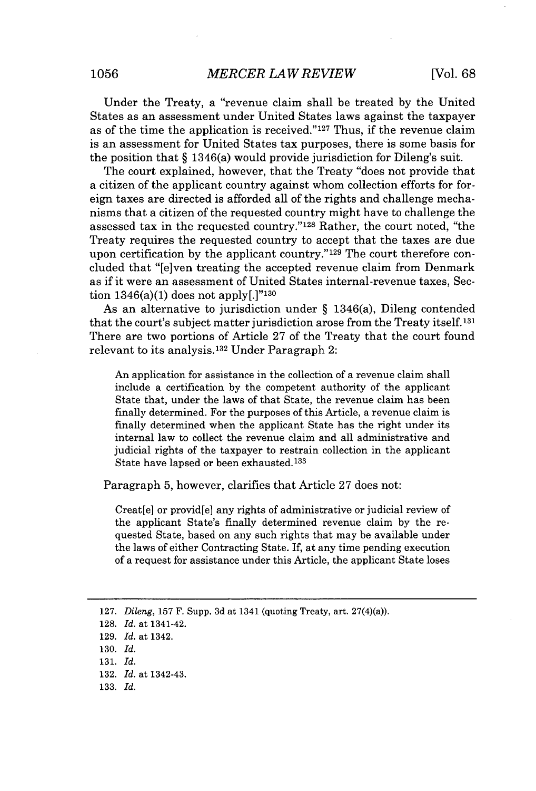Under the Treaty, a "revenue claim shall be treated **by** the United States as an assessment under United States laws against the taxpayer as of the time the application is received." <sup>127</sup>Thus, if the revenue claim is an assessment for United States tax purposes, there is some basis for the position that **§** 1346(a) would provide jurisdiction for Dileng's suit.

The court explained, however, that the Treaty "does not provide that a citizen of the applicant country against whom collection efforts for foreign taxes are directed is afforded all of the rights and challenge mechanisms that a citizen of the requested country might have to challenge the assessed tax in the requested country."<sup>128</sup> Rather, the court noted, "the Treaty requires the requested country to accept that the taxes are due upon certification by the applicant country.<sup>"129</sup> The court therefore concluded that "[e]ven treating the accepted revenue claim from Denmark as if it were an assessment of United States internal-revenue taxes, Section  $1346(a)(1)$  does not apply[.]"<sup>130</sup>

As an alternative to jurisdiction under **§** 1346(a), Dileng contended that the court's subject matter jurisdiction arose from the Treaty itself.<sup>131</sup> There are two portions of Article **27** of the Treaty that the court found relevant to its analysis.<sup>132</sup> Under Paragraph 2:

An application for assistance in the collection of a revenue claim shall include a certification **by** the competent authority of the applicant State that, under the laws of that State, the revenue claim has been finally determined. For the purposes of this Article, a revenue claim is finally determined when the applicant State has the right under its internal law to collect the revenue claim and all administrative and judicial rights of the taxpayer to restrain collection in the applicant State have lapsed or been exhausted. <sup>133</sup>

Paragraph **5,** however, clarifies that Article **27** does not:

Creat[e] or provid[e] any rights of administrative or judicial review of the applicant State's finally determined revenue claim **by** the requested State, based on any such rights that may be available under the laws of either Contracting State. **If,** at any time pending execution of a request for assistance under this Article, the applicant State loses

- **132.** *Id.* at 1342-43.
- **133.** *Id.*

**<sup>127.</sup>** *Dileng,* **157** F. Supp. **3d** at 1341 (quoting Treaty, art. 27(4)(a)).

**<sup>128.</sup>** *Id.* at 1341-42.

**<sup>129.</sup>** *Id.* at 1342.

**<sup>130.</sup>** *Id.*

**<sup>131.</sup>** *Id.*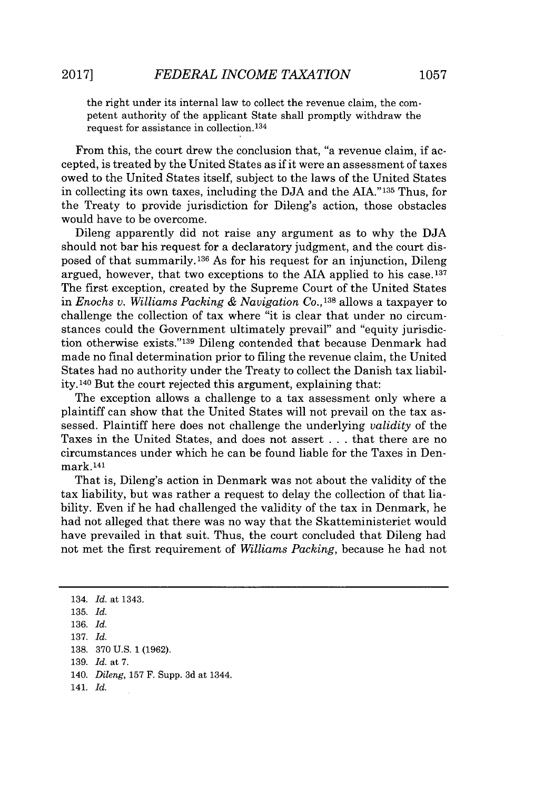the right under its internal law to collect the revenue claim, the competent authority of the applicant State shall promptly withdraw the request for assistance in collection. <sup>134</sup>

From this, the court drew the conclusion that, "a revenue claim, if accepted, is treated **by** the United States as if it were an assessment of taxes owed to the United States itself, subject to the laws of the United States in collecting its own taxes, including the **DJA** and the **AIA."135** Thus, for the Treaty to provide jurisdiction for Dileng's action, those obstacles would have to be overcome.

Dileng apparently did not raise any argument as to why the **DJA** should not bar his request for a declaratory judgment, and the court disposed of that summarily.136 As for his request for an injunction, Dileng argued, however, that two exceptions to the **AIA** applied to his case. <sup>137</sup> The first exception, created **by** the Supreme Court of the United States in *Enochs v. Williams Packing & Navigation Co.,138* allows a taxpayer to challenge the collection of tax where "it is clear that under no circumstances could the Government ultimately prevail" and "equity jurisdiction otherwise exists."<sup>139</sup> Dileng contended that because Denmark had made no final determination prior to filing the revenue claim, the United States had no authority under the Treaty to collect the Danish tax liability.<sup>140</sup> But the court rejected this argument, explaining that:

The exception allows a challenge to a tax assessment only where a plaintiff can show that the United States will not prevail on the tax assessed. Plaintiff here does not challenge the underlying *validity* of the Taxes in the United States, and does not assert . . **.** that there are no circumstances under which he can be found liable for the Taxes in Denmark.141

That is, Dileng's action in Denmark was not about the validity of the tax liability, but was rather a request to delay the collection of that liability. Even if he had challenged the validity of the tax in Denmark, he had not alleged that there was no way that the Skatteministeriet would have prevailed in that suit. Thus, the court concluded that Dileng had not met the first requirement of *Williams Packing,* because he had not

134. *Id.* at 1343. **135.** *Id.* **136.** *Id.* **137.** *Id.* **138. 370 U.S. 1 (1962). 139.** *Id.* at **7.** 140. *Dileng,* **157** F. Supp. **3d** at 1344. 141. *Id.*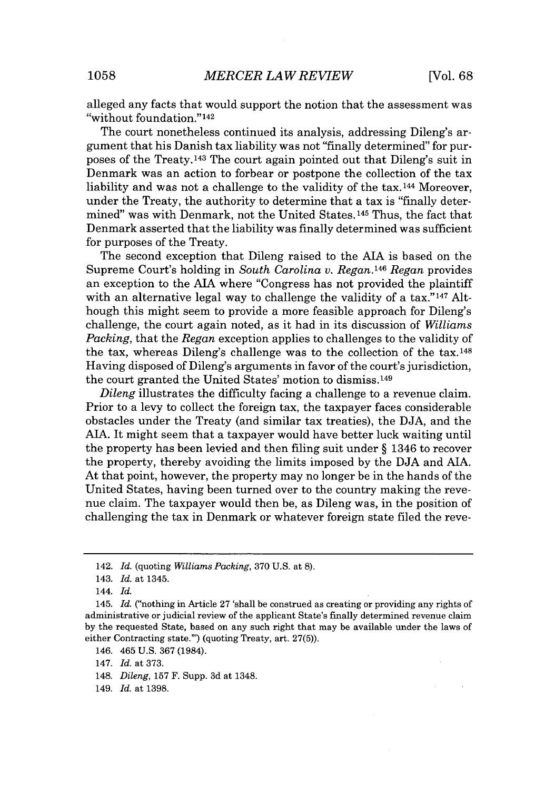alleged any facts that would support the notion that the assessment was "without foundation."142

The court nonetheless continued its analysis, addressing Dileng's argument that his Danish tax liability was not "finally determined" for purposes of the Treaty.<sup>143</sup> The court again pointed out that Dileng's suit in Denmark was an action to forbear or postpone the collection of the tax liability and was not a challenge to the validity of the tax.<sup>144</sup> Moreover, under the Treaty, the authority to determine that a tax is "finally determined" was with Denmark, not the United States.1<sup>45</sup>Thus, the fact that Denmark asserted that the liability was finally determined was sufficient for purposes of the Treaty.

The second exception that Dileng raised to the **AIA** is based on the Supreme Court's holding in *South Carolina v. Regan.1<sup>46</sup>Regan* provides an exception to the **AIA** where "Congress has not provided the plaintiff with an alternative legal way to challenge the validity of a tax."<sup>147</sup> Although this might seem to provide a more feasible approach for Dileng's challenge, the court again noted, as it had in its discussion of *Williams Packing,* that the *Regan* exception applies to challenges to the validity of the tax, whereas Dileng's challenge was to the collection of the tax.1<sup>48</sup> Having disposed of Dileng's arguments in favor of the court's jurisdiction, the court granted the United States' motion to dismiss.<sup>149</sup>

*Dileng* illustrates the difficulty facing a challenge to a revenue claim. Prior to a levy to collect the foreign tax, the taxpayer faces considerable obstacles under the Treaty (and similar tax treaties), the **DJA,** and the **AIA.** It might seem that a taxpayer would have better luck waiting until the property has been levied and then filing suit under **§** 1346 to recover the property, thereby avoiding the limits imposed **by** the **DJA** and **AIA.** At that point, however, the property may no longer be in the hands of the United States, having been turned over to the country making the revenue claim. The taxpayer would then be, as Dileng was, in the position of challenging the tax in Denmark or whatever foreign state filed the reve-

<sup>142.</sup> *Id.* (quoting *Williams Packing,* **370 U.S.** at **8).**

<sup>143.</sup> *Id. at* 1345.

<sup>144.</sup> *Id.*

<sup>145.</sup> *Id.* ("nothing in Article **27** 'shall be construed as creating or providing any rights of administrative or judicial review of the applicant State's finally determined revenue claim **by** the requested State, based on any such right that may be available under the laws of either Contracting state."') (quoting Treaty, art. **27(5)).**

<sup>146. 465</sup> **U.S. 367** (1984).

<sup>147.</sup> *Id.* at **373.**

<sup>148.</sup> *Dileng,* **157** F. Supp. **3d** at 1348.

<sup>149.</sup> *Id.* at **1398.**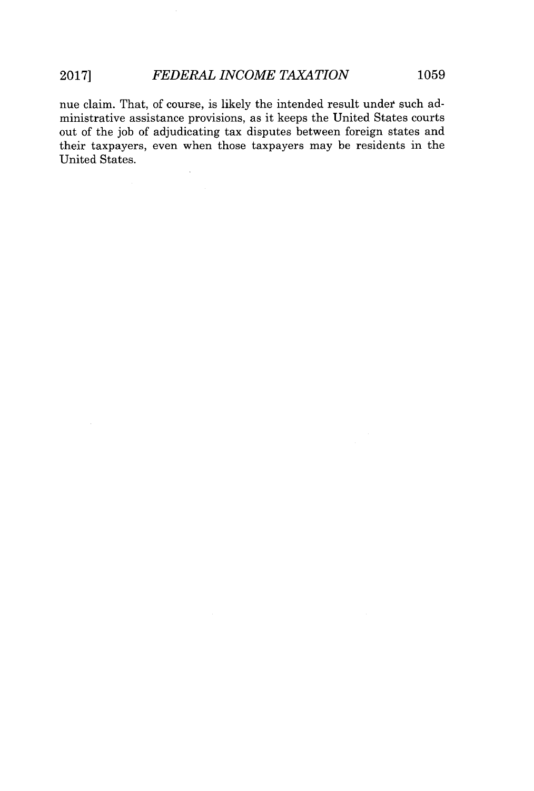nue claim. That, of course, is likely the intended result under such administrative assistance provisions, as it keeps the United States courts out of the **job** of adjudicating tax disputes between foreign states and their taxpayers, even when those taxpayers may be residents in the United States.

 $\bar{z}$